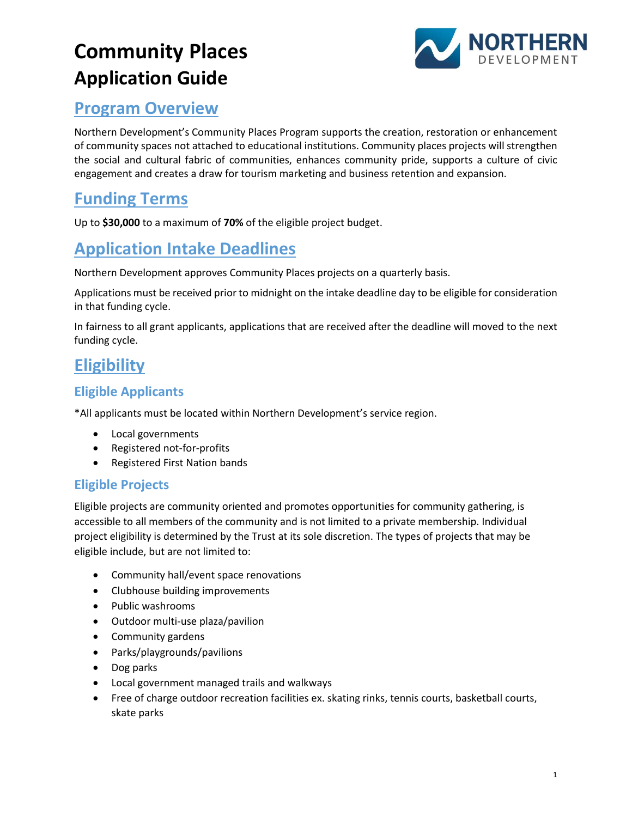# **Community Places Application Guide**



#### **Program Overview**

Northern Development's Community Places Program supports the creation, restoration or enhancement of community spaces not attached to educational institutions. Community places projects will strengthen the social and cultural fabric of communities, enhances community pride, supports a culture of civic engagement and creates a draw for tourism marketing and business retention and expansion.

## **Funding Terms**

Up to **\$30,000** to a maximum of **70%** of the eligible project budget.

# **Application Intake Deadlines**

Northern Development approves Community Places projects on a quarterly basis.

Applications must be received prior to midnight on the intake deadline day to be eligible for consideration in that funding cycle.

In fairness to all grant applicants, applications that are received after the deadline will moved to the next funding cycle.

# **Eligibility**

#### **Eligible Applicants**

\*All applicants must be located within Northern Development's service region.

- Local governments
- Registered not-for-profits
- Registered First Nation bands

#### **Eligible Projects**

Eligible projects are community oriented and promotes opportunities for community gathering, is accessible to all members of the community and is not limited to a private membership. Individual project eligibility is determined by the Trust at its sole discretion. The types of projects that may be eligible include, but are not limited to:

- Community hall/event space renovations
- Clubhouse building improvements
- Public washrooms
- Outdoor multi-use plaza/pavilion
- Community gardens
- Parks/playgrounds/pavilions
- Dog parks
- Local government managed trails and walkways
- Free of charge outdoor recreation facilities ex. skating rinks, tennis courts, basketball courts, skate parks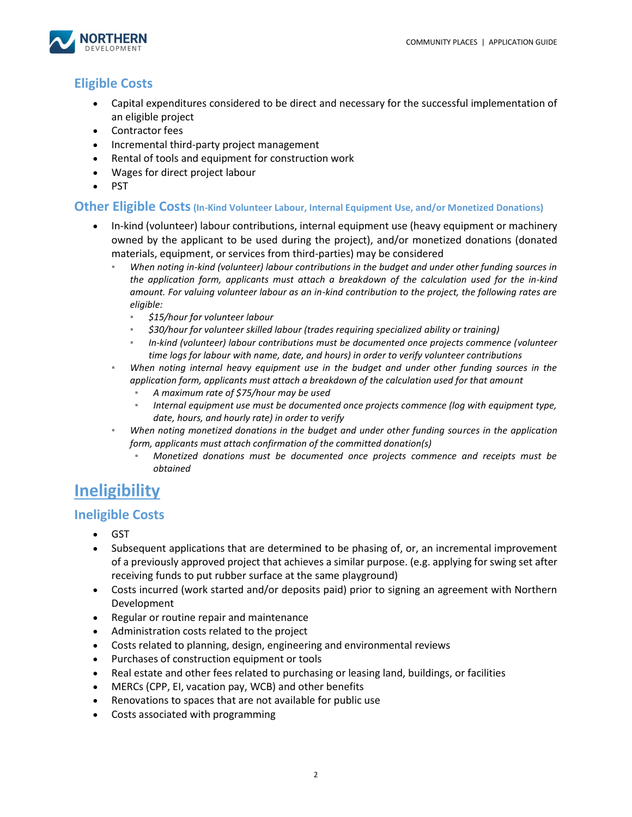

#### **Eligible Costs**

- Capital expenditures considered to be direct and necessary for the successful implementation of an eligible project
- Contractor fees
- Incremental third-party project management
- Rental of tools and equipment for construction work
- Wages for direct project labour
- PST

#### **Other Eligible Costs(In-Kind Volunteer Labour, Internal Equipment Use, and/or Monetized Donations)**

- In-kind (volunteer) labour contributions, internal equipment use (heavy equipment or machinery owned by the applicant to be used during the project), and/or monetized donations (donated materials, equipment, or services from third-parties) may be considered
	- *When noting in-kind (volunteer) labour contributions in the budget and under other funding sources in the application form, applicants must attach a breakdown of the calculation used for the in-kind amount. For valuing volunteer labour as an in-kind contribution to the project, the following rates are eligible:*
		- *\$15/hour for volunteer labour*
		- *\$30/hour for volunteer skilled labour (trades requiring specialized ability or training)*
		- *In-kind (volunteer) labour contributions must be documented once projects commence (volunteer time logs for labour with name, date, and hours) in order to verify volunteer contributions*
	- *When noting internal heavy equipment use in the budget and under other funding sources in the application form, applicants must attach a breakdown of the calculation used for that amount*
		- *A maximum rate of \$75/hour may be used*
		- *Internal equipment use must be documented once projects commence (log with equipment type, date, hours, and hourly rate) in order to verify*
	- When noting monetized donations in the budget and under other funding sources in the application *form, applicants must attach confirmation of the committed donation(s)*
		- *Monetized donations must be documented once projects commence and receipts must be obtained*

### **Ineligibility**

#### **Ineligible Costs**

- GST
- Subsequent applications that are determined to be phasing of, or, an incremental improvement of a previously approved project that achieves a similar purpose. (e.g. applying for swing set after receiving funds to put rubber surface at the same playground)
- Costs incurred (work started and/or deposits paid) prior to signing an agreement with Northern Development
- Regular or routine repair and maintenance
- Administration costs related to the project
- Costs related to planning, design, engineering and environmental reviews
- Purchases of construction equipment or tools
- Real estate and other fees related to purchasing or leasing land, buildings, or facilities
- MERCs (CPP, EI, vacation pay, WCB) and other benefits
- Renovations to spaces that are not available for public use
- Costs associated with programming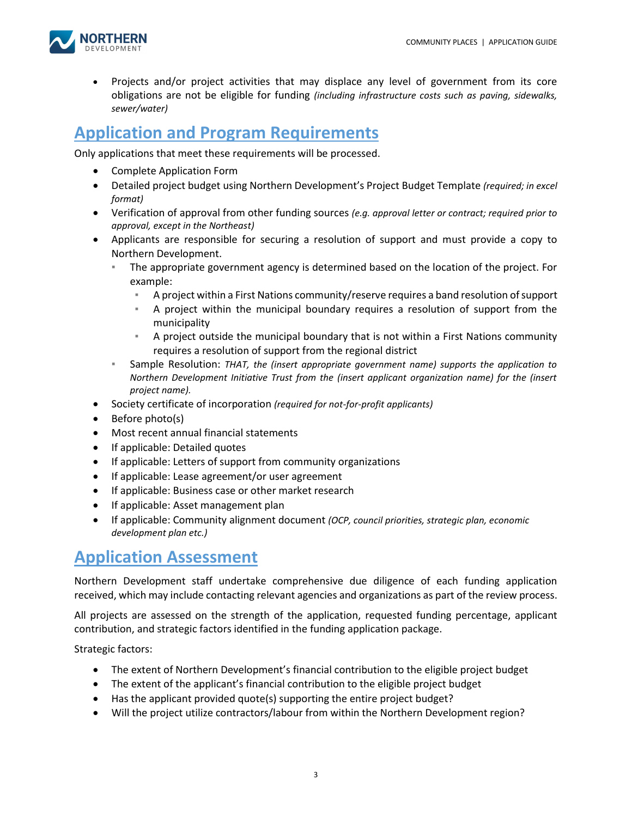

• Projects and/or project activities that may displace any level of government from its core obligations are not be eligible for funding *(including infrastructure costs such as paving, sidewalks, sewer/water)*

#### **Application and Program Requirements**

Only applications that meet these requirements will be processed.

- Complete Application Form
- Detailed project budget using Northern Development's Project Budget Template *(required; in excel format)*
- Verification of approval from other funding sources *(e.g. approval letter or contract; required prior to approval, except in the Northeast)*
- Applicants are responsible for securing a resolution of support and must provide a copy to Northern Development.
	- The appropriate government agency is determined based on the location of the project. For example:
		- A project within a First Nations community/reserve requires a band resolution of support
		- A project within the municipal boundary requires a resolution of support from the municipality
		- A project outside the municipal boundary that is not within a First Nations community requires a resolution of support from the regional district
	- Sample Resolution: *THAT, the (insert appropriate government name) supports the application to Northern Development Initiative Trust from the (insert applicant organization name) for the (insert project name).*
- Society certificate of incorporation *(required for not-for-profit applicants)*
- Before photo(s)
- Most recent annual financial statements
- If applicable: Detailed quotes
- If applicable: Letters of support from community organizations
- If applicable: Lease agreement/or user agreement
- If applicable: Business case or other market research
- If applicable: Asset management plan
- If applicable: Community alignment document *(OCP, council priorities, strategic plan, economic development plan etc.)*

#### **Application Assessment**

Northern Development staff undertake comprehensive due diligence of each funding application received, which may include contacting relevant agencies and organizations as part of the review process.

All projects are assessed on the strength of the application, requested funding percentage, applicant contribution, and strategic factors identified in the funding application package.

Strategic factors:

- The extent of Northern Development's financial contribution to the eligible project budget
- The extent of the applicant's financial contribution to the eligible project budget
- Has the applicant provided quote(s) supporting the entire project budget?
- Will the project utilize contractors/labour from within the Northern Development region?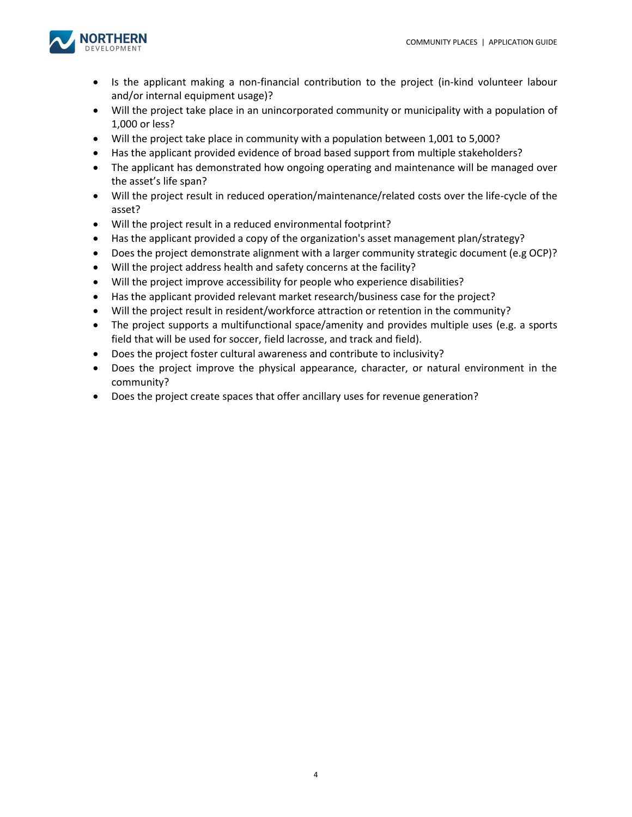

- Is the applicant making a non-financial contribution to the project (in-kind volunteer labour and/or internal equipment usage)?
- Will the project take place in an unincorporated community or municipality with a population of 1,000 or less?
- Will the project take place in community with a population between 1,001 to 5,000?
- Has the applicant provided evidence of broad based support from multiple stakeholders?
- The applicant has demonstrated how ongoing operating and maintenance will be managed over the asset's life span?
- Will the project result in reduced operation/maintenance/related costs over the life-cycle of the asset?
- Will the project result in a reduced environmental footprint?
- Has the applicant provided a copy of the organization's asset management plan/strategy?
- Does the project demonstrate alignment with a larger community strategic document (e.g OCP)?
- Will the project address health and safety concerns at the facility?
- Will the project improve accessibility for people who experience disabilities?
- Has the applicant provided relevant market research/business case for the project?
- Will the project result in resident/workforce attraction or retention in the community?
- The project supports a multifunctional space/amenity and provides multiple uses (e.g. a sports field that will be used for soccer, field lacrosse, and track and field).
- Does the project foster cultural awareness and contribute to inclusivity?
- Does the project improve the physical appearance, character, or natural environment in the community?
- Does the project create spaces that offer ancillary uses for revenue generation?